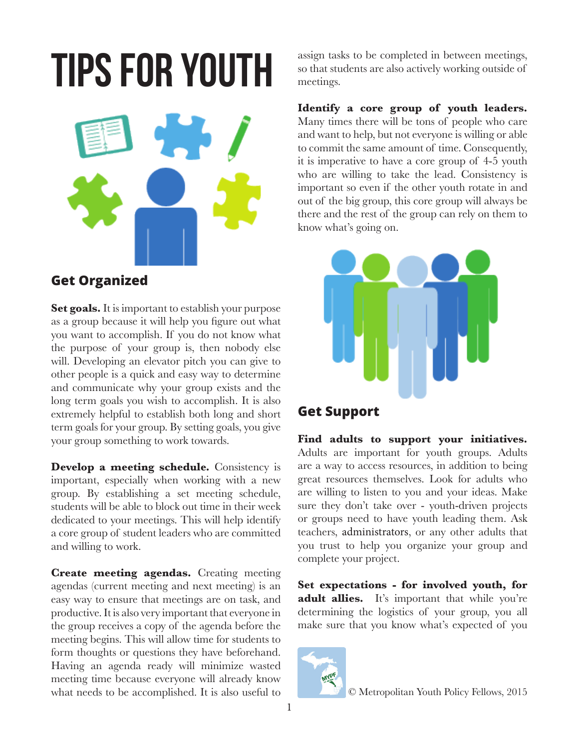# **Tips for Youth**



# **Get Organized**

**Set goals.** It is important to establish your purpose as a group because it will help you figure out what you want to accomplish. If you do not know what the purpose of your group is, then nobody else will. Developing an elevator pitch you can give to other people is a quick and easy way to determine and communicate why your group exists and the long term goals you wish to accomplish. It is also extremely helpful to establish both long and short term goals for your group. By setting goals, you give your group something to work towards.

**Develop a meeting schedule.** Consistency is important, especially when working with a new group. By establishing a set meeting schedule, students will be able to block out time in their week dedicated to your meetings. This will help identify a core group of student leaders who are committed and willing to work.

**Create meeting agendas.** Creating meeting agendas (current meeting and next meeting) is an easy way to ensure that meetings are on task, and productive. It is also very important that everyone in the group receives a copy of the agenda before the meeting begins. This will allow time for students to form thoughts or questions they have beforehand. Having an agenda ready will minimize wasted meeting time because everyone will already know what needs to be accomplished. It is also useful to

assign tasks to be completed in between meetings, so that students are also actively working outside of meetings.

**Identify a core group of youth leaders.**  Many times there will be tons of people who care and want to help, but not everyone is willing or able to commit the same amount of time. Consequently, it is imperative to have a core group of 4-5 youth who are willing to take the lead. Consistency is important so even if the other youth rotate in and out of the big group, this core group will always be there and the rest of the group can rely on them to know what's going on.



# **Get Support**

**Find adults to support your initiatives.** Adults are important for youth groups. Adults are a way to access resources, in addition to being great resources themselves. Look for adults who are willing to listen to you and your ideas. Make sure they don't take over - youth-driven projects or groups need to have youth leading them. Ask teachers, administrators, or any other adults that you trust to help you organize your group and complete your project.

**Set expectations - for involved youth, for**  adult allies. It's important that while you're determining the logistics of your group, you all make sure that you know what's expected of you

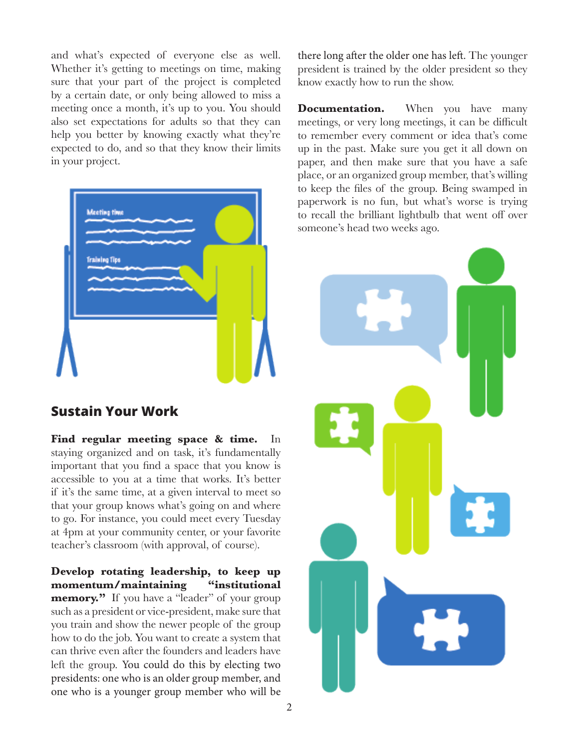and what's expected of everyone else as well. Whether it's getting to meetings on time, making sure that your part of the project is completed by a certain date, or only being allowed to miss a meeting once a month, it's up to you. You should also set expectations for adults so that they can help you better by knowing exactly what they're expected to do, and so that they know their limits in your project.



#### **Sustain Your Work**

Find regular meeting space & time. staying organized and on task, it's fundamentally important that you find a space that you know is accessible to you at a time that works. It's better if it's the same time, at a given interval to meet so that your group knows what's going on and where to go. For instance, you could meet every Tuesday at 4pm at your community center, or your favorite teacher's classroom (with approval, of course).

**Develop rotating leadership, to keep up momentum/maintaining "institutional memory.**" If you have a "leader" of your group such as a president or vice-president, make sure that you train and show the newer people of the group how to do the job. You want to create a system that can thrive even after the founders and leaders have left the group. You could do this by electing two presidents: one who is an older group member, and one who is a younger group member who will be there long after the older one has left. The younger president is trained by the older president so they know exactly how to run the show.

**Documentation.** When you have many meetings, or very long meetings, it can be difficult to remember every comment or idea that's come up in the past. Make sure you get it all down on paper, and then make sure that you have a safe place, or an organized group member, that's willing to keep the files of the group. Being swamped in paperwork is no fun, but what's worse is trying to recall the brilliant lightbulb that went off over someone's head two weeks ago.

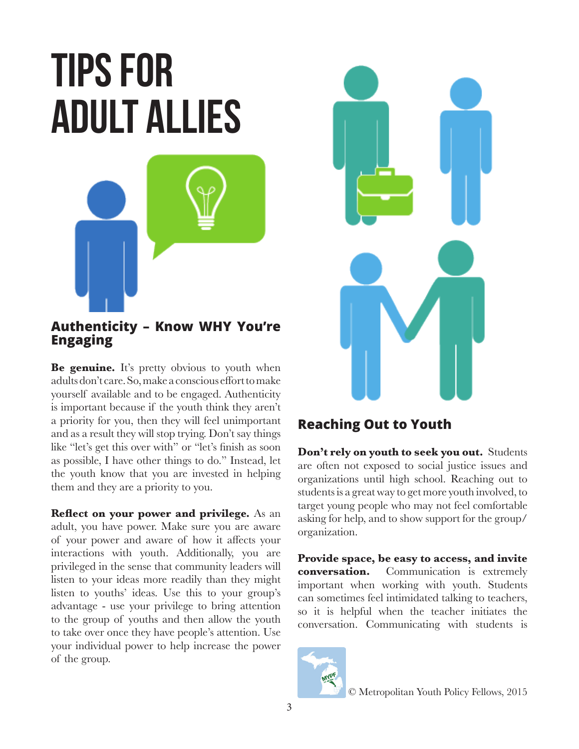# **Tips for adult allies**



#### **Authenticity – Know WHY You're Engaging**

**Be genuine.** It's pretty obvious to youth when adults don't care. So, make a conscious effort to make yourself available and to be engaged. Authenticity is important because if the youth think they aren't a priority for you, then they will feel unimportant and as a result they will stop trying. Don't say things like "let's get this over with" or "let's finish as soon as possible, I have other things to do." Instead, let the youth know that you are invested in helping them and they are a priority to you.

**Reflect on your power and privilege.** As an adult, you have power. Make sure you are aware of your power and aware of how it affects your interactions with youth. Additionally, you are privileged in the sense that community leaders will listen to your ideas more readily than they might listen to youths' ideas. Use this to your group's advantage - use your privilege to bring attention to the group of youths and then allow the youth to take over once they have people's attention. Use your individual power to help increase the power of the group.



# **Reaching Out to Youth**

**Don't rely on youth to seek you out.** Students are often not exposed to social justice issues and organizations until high school. Reaching out to students is a great way to get more youth involved, to target young people who may not feel comfortable asking for help, and to show support for the group/ organization.

**Provide space, be easy to access, and invite conversation.** Communication is extremely important when working with youth. Students can sometimes feel intimidated talking to teachers, so it is helpful when the teacher initiates the conversation. Communicating with students is



© Metropolitan Youth Policy Fellows, 2015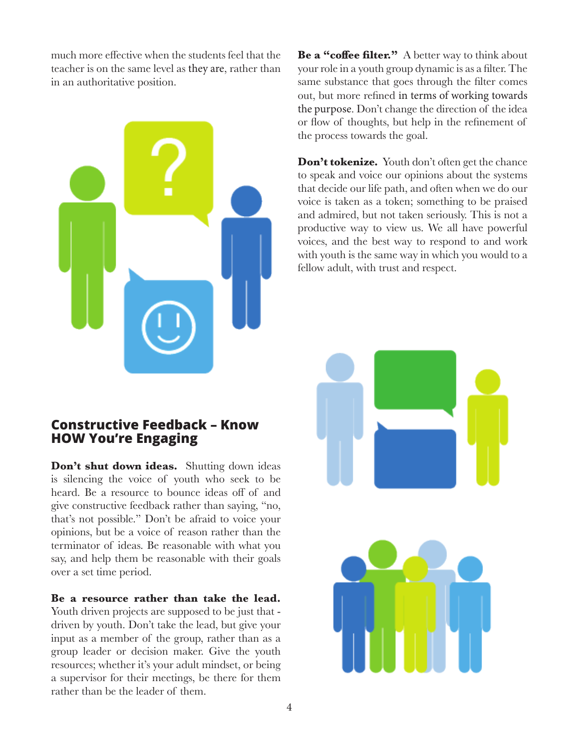much more effective when the students feel that the teacher is on the same level as they are, rather than in an authoritative position.



#### **Constructive Feedback – Know HOW You're Engaging**

**Don't shut down ideas.** Shutting down ideas is silencing the voice of youth who seek to be heard. Be a resource to bounce ideas off of and give constructive feedback rather than saying, "no, that's not possible." Don't be afraid to voice your opinions, but be a voice of reason rather than the terminator of ideas. Be reasonable with what you say, and help them be reasonable with their goals over a set time period.

**Be a resource rather than take the lead.** Youth driven projects are supposed to be just that driven by youth. Don't take the lead, but give your input as a member of the group, rather than as a group leader or decision maker. Give the youth resources; whether it's your adult mindset, or being a supervisor for their meetings, be there for them rather than be the leader of them.

**Be a "coffee filter."** A better way to think about your role in a youth group dynamic is as a filter. The same substance that goes through the filter comes out, but more refined in terms of working towards the purpose. Don't change the direction of the idea or flow of thoughts, but help in the refinement of the process towards the goal.

Don't tokenize. Youth don't often get the chance to speak and voice our opinions about the systems that decide our life path, and often when we do our voice is taken as a token; something to be praised and admired, but not taken seriously. This is not a productive way to view us. We all have powerful voices, and the best way to respond to and work with youth is the same way in which you would to a fellow adult, with trust and respect.

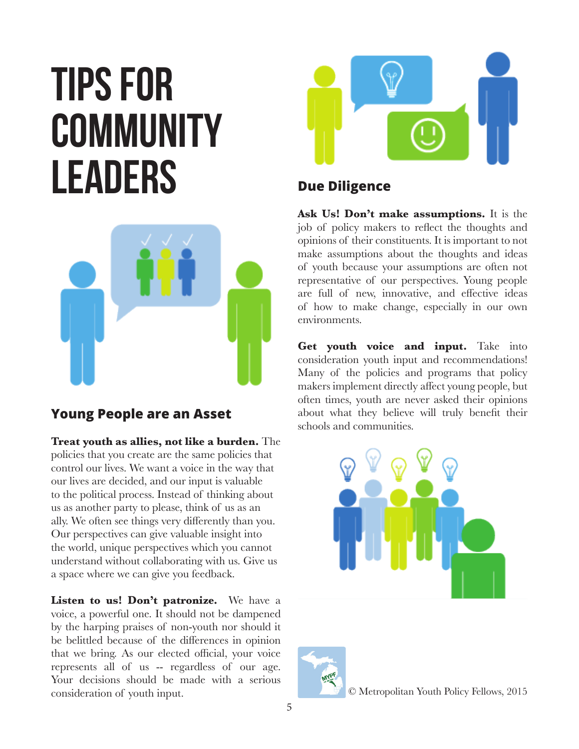# **Tips for community leaders**



# **Young People are an Asset**

**Treat youth as allies, not like a burden.** The policies that you create are the same policies that control our lives. We want a voice in the way that our lives are decided, and our input is valuable to the political process. Instead of thinking about us as another party to please, think of us as an ally. We often see things very differently than you. Our perspectives can give valuable insight into the world, unique perspectives which you cannot understand without collaborating with us. Give us a space where we can give you feedback.

Listen to us! Don't patronize. We have a voice, a powerful one. It should not be dampened by the harping praises of non-youth nor should it be belittled because of the differences in opinion that we bring. As our elected official, your voice represents all of us -- regardless of our age. Your decisions should be made with a serious consideration of youth input.



# **Due Diligence**

**Ask Us! Don't make assumptions.** It is the job of policy makers to reflect the thoughts and opinions of their constituents. It is important to not make assumptions about the thoughts and ideas of youth because your assumptions are often not representative of our perspectives. Young people are full of new, innovative, and effective ideas of how to make change, especially in our own environments.

**Get youth voice and input.** Take into consideration youth input and recommendations! Many of the policies and programs that policy makers implement directly affect young people, but often times, youth are never asked their opinions about what they believe will truly benefit their schools and communities.